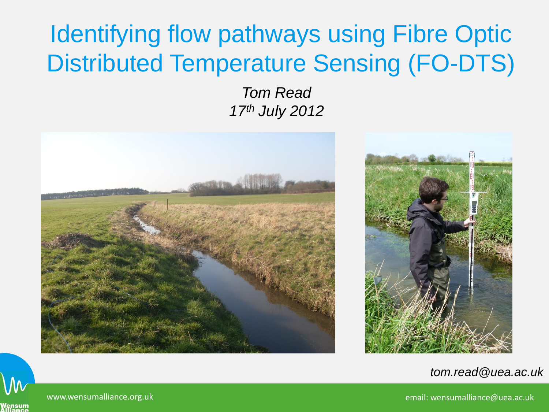#### Identifying flow pathways using Fibre Optic Distributed Temperature Sensing (FO-DTS)

*Tom Read 17th July 2012*





*tom.read@uea.ac.uk*

www.wensumalliance.org.uk email: wensumalliance@uea.ac.uk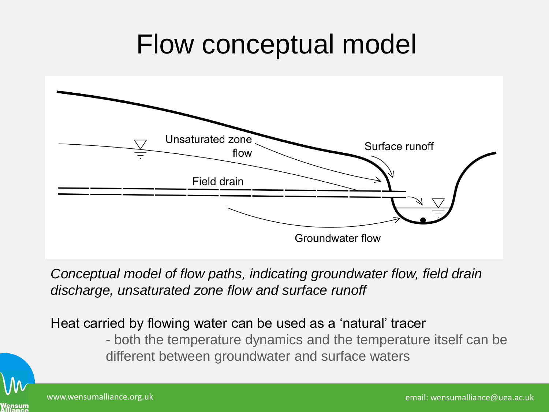### Flow conceptual model



*Conceptual model of flow paths, indicating groundwater flow, field drain discharge, unsaturated zone flow and surface runoff* 

Heat carried by flowing water can be used as a 'natural' tracer

- both the temperature dynamics and the temperature itself can be different between groundwater and surface waters

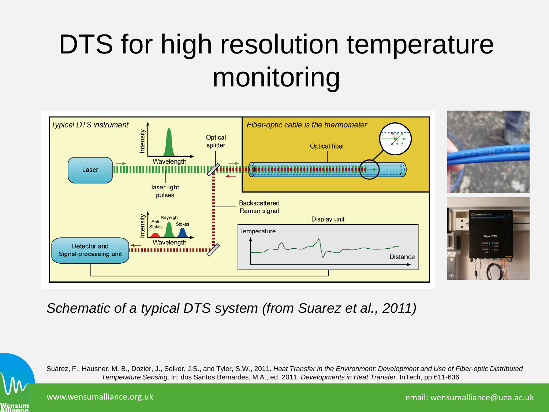# DTS for high resolution temperature monitoring



*Schematic of a typical DTS system (from Suarez et al., 2011)*

Suárez, F., Hausner, M. B., Dozier, J., Selker, J.S., and Tyler, S.W., 2011. *Heat Transfer in the Environment: Development and Use of Fiber-optic Distributed Temperature Sensing*. In: dos Santos Bernardes, M.A., ed. 2011. *Developments in Heat Transfer*. InTech, pp.611-636

Vensum<br>Iliance

www.wensumalliance.org.uk email: wensumalliance@uea.ac.uk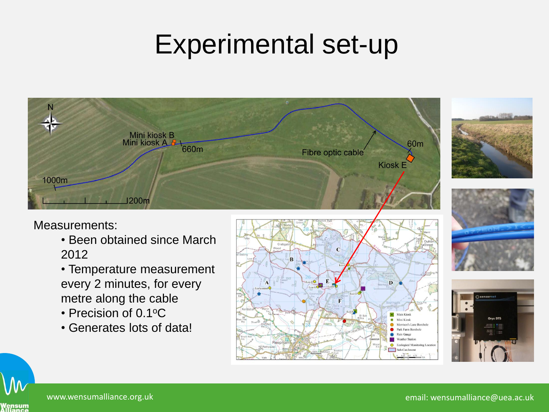## Experimental set-up



#### Measurements:

- Been obtained since March 2012
- Temperature measurement every 2 minutes, for every metre along the cable
- Precision of 0.1°C
- Generates lots of data!











www.wensumalliance.org.uk email: wensumalliance@uea.ac.uk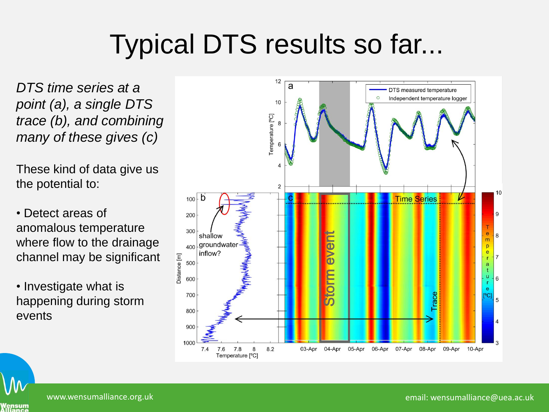# Typical DTS results so far...

*DTS time series at a point (a), a single DTS trace (b), and combining many of these gives (c)*

These kind of data give us the potential to:

• Detect areas of anomalous temperature where flow to the drainage channel may be significant

• Investigate what is happening during storm events